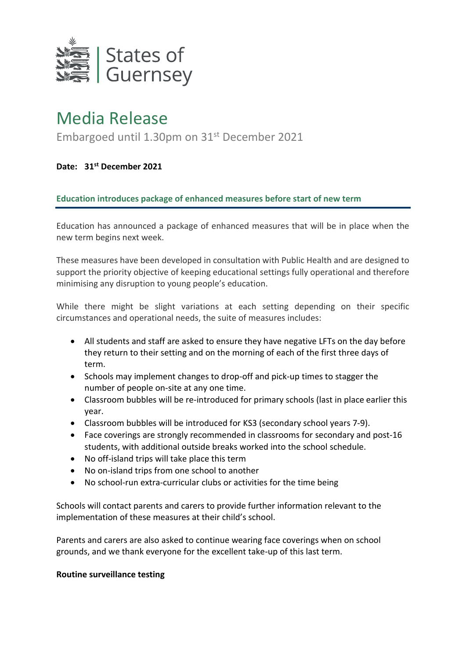

## Media Release

Embargoed until 1.30pm on 31st December 2021

**Date: 31 st December 2021**

**Education introduces package of enhanced measures before start of new term**

Education has announced a package of enhanced measures that will be in place when the new term begins next week.

These measures have been developed in consultation with Public Health and are designed to support the priority objective of keeping educational settings fully operational and therefore minimising any disruption to young people's education.

While there might be slight variations at each setting depending on their specific circumstances and operational needs, the suite of measures includes:

- All students and staff are asked to ensure they have negative LFTs on the day before they return to their setting and on the morning of each of the first three days of term.
- Schools may implement changes to drop-off and pick-up times to stagger the number of people on-site at any one time.
- Classroom bubbles will be re-introduced for primary schools (last in place earlier this year.
- Classroom bubbles will be introduced for KS3 (secondary school years 7-9).
- Face coverings are strongly recommended in classrooms for secondary and post-16 students, with additional outside breaks worked into the school schedule.
- No off-island trips will take place this term
- No on-island trips from one school to another
- No school-run extra-curricular clubs or activities for the time being

Schools will contact parents and carers to provide further information relevant to the implementation of these measures at their child's school.

Parents and carers are also asked to continue wearing face coverings when on school grounds, and we thank everyone for the excellent take-up of this last term.

## **Routine surveillance testing**